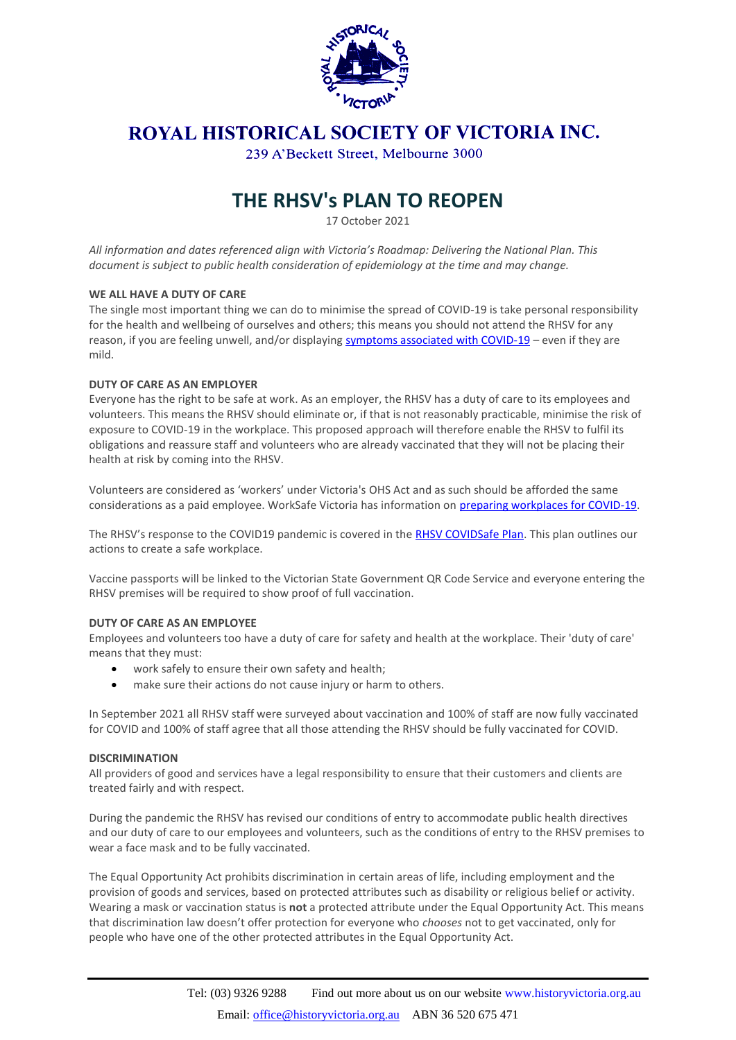

# ROYAL HISTORICAL SOCIETY OF VICTORIA INC.

239 A'Beckett Street, Melbourne 3000

# **THE RHSV's PLAN TO REOPEN**

17 October 2021

*All information and dates referenced align with Victoria's Roadmap: Delivering the National Plan. This document is subject to public health consideration of epidemiology at the time and may change.*

#### **WE ALL HAVE A DUTY OF CARE**

The single most important thing we can do to minimise the spread of COVID-19 is take personal responsibility for the health and wellbeing of ourselves and others; this means you should not attend the RHSV for any reason, if you are feeling unwell, and/or displaying [symptoms associated with COVID-19](https://www.dhhs.vic.gov.au/victorian-public-coronavirus-disease-covid-19#should-i-get-tested) – even if they are mild.

#### **DUTY OF CARE AS AN EMPLOYER**

Everyone has the right to be safe at work. As an employer, the RHSV has a duty of care to its employees and volunteers. This means the RHSV should eliminate or, if that is not reasonably practicable, minimise the risk of exposure to COVID-19 in the workplace. This proposed approach will therefore enable the RHSV to fulfil its obligations and reassure staff and volunteers who are already vaccinated that they will not be placing their health at risk by coming into the RHSV.

Volunteers are considered as 'workers' under Victoria's OHS Act and as such should be afforded the same considerations as a paid employee. WorkSafe Victoria has information on [preparing workplaces](https://www.worksafe.vic.gov.au/coronavirus-covid-19-information-your-industry) for COVID-19.

The RHSV's response to the COVID19 pandemic is covered in the [RHSV COVIDSafe Plan.](https://www.historyvictoria.org.au/societies/other-resources/) This plan outlines our actions to create a safe workplace.

Vaccine passports will be linked to the Victorian State Government QR Code Service and everyone entering the RHSV premises will be required to show proof of full vaccination.

#### **DUTY OF CARE AS AN EMPLOYEE**

Employees and volunteers too have a duty of care for safety and health at the workplace. Their 'duty of care' means that they must:

- work safely to ensure their own safety and health;
- make sure their actions do not cause injury or harm to others.

In September 2021 all RHSV staff were surveyed about vaccination and 100% of staff are now fully vaccinated for COVID and 100% of staff agree that all those attending the RHSV should be fully vaccinated for COVID.

#### **DISCRIMINATION**

All providers of good and services have a legal responsibility to ensure that their customers and clients are treated fairly and with respect.

During the pandemic the RHSV has revised our conditions of entry to accommodate public health directives and our duty of care to our employees and volunteers, such as the conditions of entry to the RHSV premises to wear a face mask and to be fully vaccinated.

The Equal Opportunity Act prohibits discrimination in certain areas of life, including employment and the provision of goods and services, based on protected attributes such as disability or religious belief or activity. Wearing a mask or vaccination status is **not** a protected attribute under the Equal Opportunity Act. This means that discrimination law doesn't offer protection for everyone who *chooses* not to get vaccinated, only for people who have one of the other protected attributes in the Equal Opportunity Act.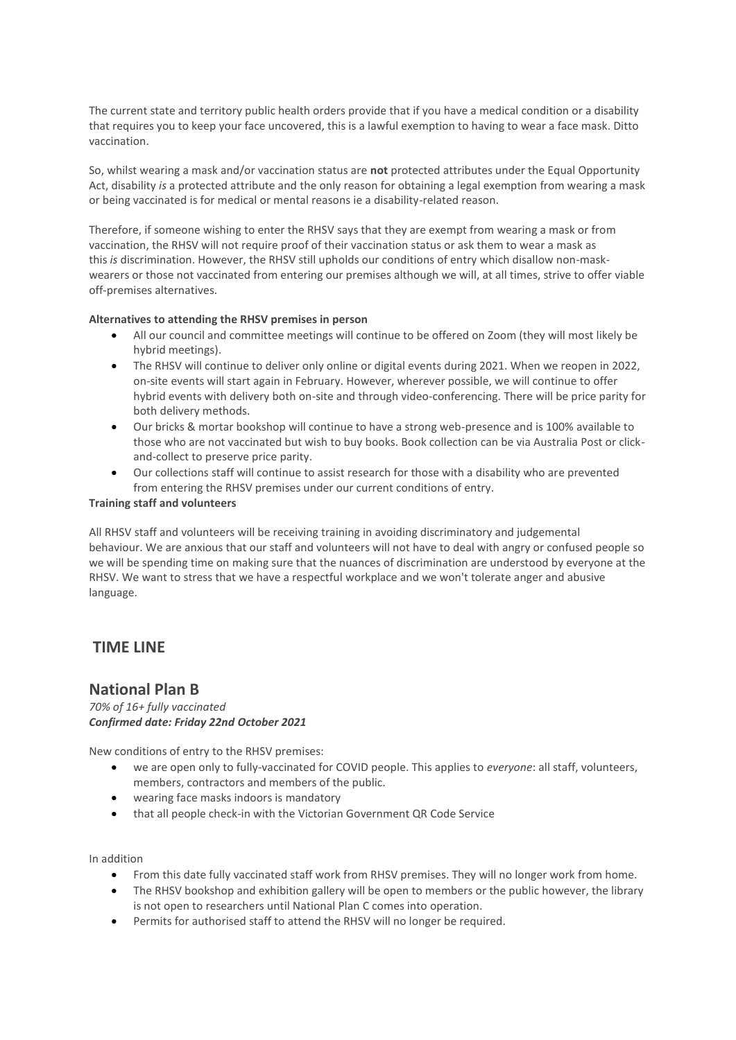The current state and territory public health orders provide that if you have a medical condition or a disability that requires you to keep your face uncovered, this is a lawful exemption to having to wear a face mask. Ditto vaccination.

So, whilst wearing a mask and/or vaccination status are **not** protected attributes under the Equal Opportunity Act, disability *is* a protected attribute and the only reason for obtaining a legal exemption from wearing a mask or being vaccinated is for medical or mental reasons ie a disability-related reason.

Therefore, if someone wishing to enter the RHSV says that they are exempt from wearing a mask or from vaccination, the RHSV will not require proof of their vaccination status or ask them to wear a mask as this *is* discrimination. However, the RHSV still upholds our conditions of entry which disallow non-maskwearers or those not vaccinated from entering our premises although we will, at all times, strive to offer viable off-premises alternatives.

#### **Alternatives to attending the RHSV premises in person**

- All our council and committee meetings will continue to be offered on Zoom (they will most likely be hybrid meetings).
- The RHSV will continue to deliver only online or digital events during 2021. When we reopen in 2022, on-site events will start again in February. However, wherever possible, we will continue to offer hybrid events with delivery both on-site and through video-conferencing. There will be price parity for both delivery methods.
- Our bricks & mortar bookshop will continue to have a strong web-presence and is 100% available to those who are not vaccinated but wish to buy books. Book collection can be via Australia Post or clickand-collect to preserve price parity.
- Our collections staff will continue to assist research for those with a disability who are prevented from entering the RHSV premises under our current conditions of entry.

#### **Training staff and volunteers**

All RHSV staff and volunteers will be receiving training in avoiding discriminatory and judgemental behaviour. We are anxious that our staff and volunteers will not have to deal with angry or confused people so we will be spending time on making sure that the nuances of discrimination are understood by everyone at the RHSV. We want to stress that we have a respectful workplace and we won't tolerate anger and abusive language.

### **TIME LINE**

### **National Plan B**

*70% of 16+ fully vaccinated Confirmed date: Friday 22nd October 2021*

New conditions of entry to the RHSV premises:

- we are open only to fully-vaccinated for COVID people. This applies to *everyone*: all staff, volunteers, members, contractors and members of the public.
- wearing face masks indoors is mandatory
- that all people check-in with the Victorian Government QR Code Service

In addition

- From this date fully vaccinated staff work from RHSV premises. They will no longer work from home.
- The RHSV bookshop and exhibition gallery will be open to members or the public however, the library is not open to researchers until National Plan C comes into operation.
- Permits for authorised staff to attend the RHSV will no longer be required.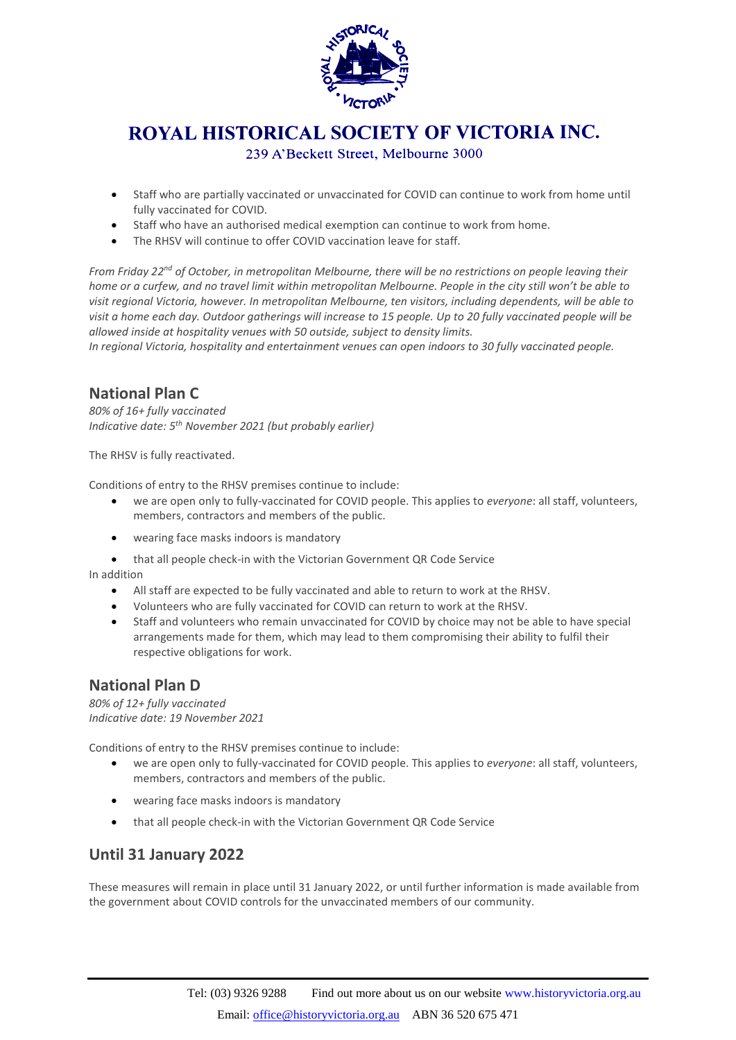

# **ROYAL HISTORICAL SOCIETY OF VICTORIA INC.**

239 A'Beckett Street, Melbourne 3000

- Staff who are partially vaccinated or unvaccinated for COVID can continue to work from home until fully vaccinated for COVID.
- Staff who have an authorised medical exemption can continue to work from home.
- The RHSV will continue to offer COVID vaccination leave for staff.

*From Friday 22nd of October, in metropolitan Melbourne, there will be no restrictions on people leaving their home or a curfew, and no travel limit within metropolitan Melbourne. People in the city still won't be able to visit regional Victoria, however. In metropolitan Melbourne, ten visitors, including dependents, will be able to visit a home each day. Outdoor gatherings will increase to 15 people. Up to 20 fully vaccinated people will be allowed inside at hospitality venues with 50 outside, subject to density limits.*

*In regional Victoria, hospitality and entertainment venues can open indoors to 30 fully vaccinated people.*

### **National Plan C**

*80% of 16+ fully vaccinated Indicative date: 5th November 2021 (but probably earlier)*

The RHSV is fully reactivated.

Conditions of entry to the RHSV premises continue to include:

- we are open only to fully-vaccinated for COVID people. This applies to *everyone*: all staff, volunteers, members, contractors and members of the public.
- wearing face masks indoors is mandatory
- that all people check-in with the Victorian Government QR Code Service

In addition

- All staff are expected to be fully vaccinated and able to return to work at the RHSV.
- Volunteers who are fully vaccinated for COVID can return to work at the RHSV.
- Staff and volunteers who remain unvaccinated for COVID by choice may not be able to have special arrangements made for them, which may lead to them compromising their ability to fulfil their respective obligations for work.

### **National Plan D**

*80% of 12+ fully vaccinated Indicative date: 19 November 2021*

Conditions of entry to the RHSV premises continue to include:

- we are open only to fully-vaccinated for COVID people. This applies to *everyone*: all staff, volunteers, members, contractors and members of the public.
- wearing face masks indoors is mandatory
- that all people check-in with the Victorian Government QR Code Service

### **Until 31 January 2022**

These measures will remain in place until 31 January 2022, or until further information is made available from the government about COVID controls for the unvaccinated members of our community.